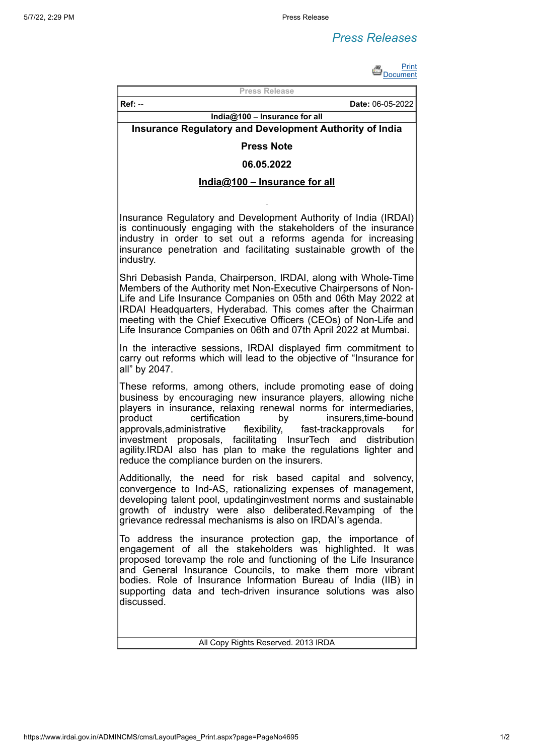# *Press Releases*



**Press Release**

**Ref:** -- **Date:** 06-05-2022

## **India@100 – Insurance for all Insurance Regulatory and Development Authority of India**

## **Press Note**

#### **06.05.2022**

## **India@100 – Insurance for all**

Insurance Regulatory and Development Authority of India (IRDAI) is continuously engaging with the stakeholders of the insurance industry in order to set out a reforms agenda for increasing insurance penetration and facilitating sustainable growth of the industry.

Shri Debasish Panda, Chairperson, IRDAI, along with Whole-Time Members of the Authority met Non-Executive Chairpersons of Non-Life and Life Insurance Companies on 05th and 06th May 2022 at IRDAI Headquarters, Hyderabad. This comes after the Chairman meeting with the Chief Executive Officers (CEOs) of Non-Life and Life Insurance Companies on 06th and 07th April 2022 at Mumbai.

In the interactive sessions, IRDAI displayed firm commitment to carry out reforms which will lead to the objective of "Insurance for all" by 2047.

These reforms, among others, include promoting ease of doing business by encouraging new insurance players, allowing niche players in insurance, relaxing renewal norms for intermediaries, product certification by insurers,time-bound<br>approvals.administrative flexibility, fast-trackapprovals for approvals,administrative flexibility, fast-trackapprovals for investment proposals, facilitating InsurTech and distribution agility.IRDAI also has plan to make the regulations lighter and reduce the compliance burden on the insurers.

Additionally, the need for risk based capital and solvency, convergence to Ind-AS, rationalizing expenses of management, developing talent pool, updatinginvestment norms and sustainable growth of industry were also deliberated.Revamping of the grievance redressal mechanisms is also on IRDAI's agenda.

To address the insurance protection gap, the importance of engagement of all the stakeholders was highlighted. It was proposed torevamp the role and functioning of the Life Insurance and General Insurance Councils, to make them more vibrant bodies. Role of Insurance Information Bureau of India (IIB) in supporting data and tech-driven insurance solutions was also discussed.

All Copy Rights Reserved. 2013 IRDA